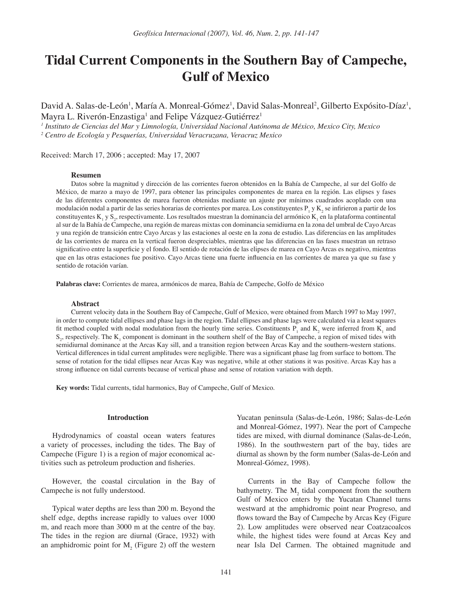# **Tidal Current Components in the Southern Bay of Campeche, Gulf of Mexico**

David A. Salas-de-León<sup>1</sup>, María A. Monreal-Gómez<sup>1</sup>, David Salas-Monreal<sup>2</sup>, Gilberto Expósito-Díaz<sup>1</sup>, Mayra L. Riverón-Enzastiga<sup>1</sup> and Felipe Vázquez-Gutiérrez<sup>1</sup>

*1 Instituto de Ciencias del Mar y Limnología, Universidad Nacional Autónoma de México, Mexico City, Mexico*

*2 Centro de Ecología y Pesquerías, Universidad Veracruzana, Veracruz Mexico*

Received: March 17, 2006 ; accepted: May 17, 2007

#### **Resumen**

Datos sobre la magnitud y dirección de las corrientes fueron obtenidos en la Bahía de Campeche, al sur del Golfo de México, de marzo a mayo de 1997, para obtener las principales componentes de marea en la región. Las elipses y fases de las diferentes componentes de marea fueron obtenidas mediante un ajuste por mínimos cuadrados acoplado con una modulación nodal a partir de las series horarias de corrientes por marea. Los constituyentes  $P_1$  y  $K_2$  se infirieron a partir de los constituyentes  $K_1$  y  $S_2$ , respectivamente. Los resultados muestran la dominancia del armónico  $K_1$  en la plataforma continental al sur de la Bahía de Campeche, una región de mareas mixtas con dominancia semidiurna en la zona del umbral de Cayo Arcas y una región de transición entre Cayo Arcas y las estaciones al oeste en la zona de estudio. Las diferencias en las amplitudes de las corrientes de marea en la vertical fueron despreciables, mientras que las diferencias en las fases muestran un retraso significativo entre la superficie y el fondo. El sentido de rotación de las elipses de marea en Cayo Arcas es negativo, mientras que en las otras estaciones fue positivo. Cayo Arcas tiene una fuerte influencia en las corrientes de marea ya que su fase y sentido de rotación varían.

**Palabras clave:** Corrientes de marea, armónicos de marea, Bahía de Campeche, Golfo de México

#### **Abstract**

Current velocity data in the Southern Bay of Campeche, Gulf of Mexico, were obtained from March 1997 to May 1997, in order to compute tidal ellipses and phase lags in the region. Tidal ellipses and phase lags were calculated via a least squares fit method coupled with nodal modulation from the hourly time series. Constituents  $P_1$  and  $K_2$  were inferred from  $K_1$  and  $S_2$ , respectively. The  $K_1$  component is dominant in the southern shelf of the Bay of Campeche, a region of mixed tides with semidiurnal dominance at the Arcas Kay sill, and a transition region between Arcas Kay and the southern-western stations. Vertical differences in tidal current amplitudes were negligible. There was a significant phase lag from surface to bottom. The sense of rotation for the tidal ellipses near Arcas Kay was negative, while at other stations it was positive. Arcas Kay has a strong influence on tidal currents because of vertical phase and sense of rotation variation with depth.

**Key words:** Tidal currents, tidal harmonics, Bay of Campeche, Gulf of Mexico.

## **Introduction**

Hydrodynamics of coastal ocean waters features a variety of processes, including the tides. The Bay of Campeche (Figure 1) is a region of major economical activities such as petroleum production and fisheries.

However, the coastal circulation in the Bay of Campeche is not fully understood.

Typical water depths are less than 200 m. Beyond the shelf edge, depths increase rapidly to values over 1000 m, and reach more than 3000 m at the centre of the bay. The tides in the region are diurnal (Grace, 1932) with an amphidromic point for  $M_2$  (Figure 2) off the western

Yucatan peninsula (Salas-de-León, 1986; Salas-de-León and Monreal-Gómez, 1997). Near the port of Campeche tides are mixed, with diurnal dominance (Salas-de-León, 1986). In the southwestern part of the bay, tides are diurnal as shown by the form number (Salas-de-León and Monreal-Gómez, 1998).

Currents in the Bay of Campeche follow the bathymetry. The  $M_2$  tidal component from the southern Gulf of Mexico enters by the Yucatan Channel turns westward at the amphidromic point near Progreso, and flows toward the Bay of Campeche by Arcas Key (Figure 2). Low amplitudes were observed near Coatzacoalcos while, the highest tides were found at Arcas Key and near Isla Del Carmen. The obtained magnitude and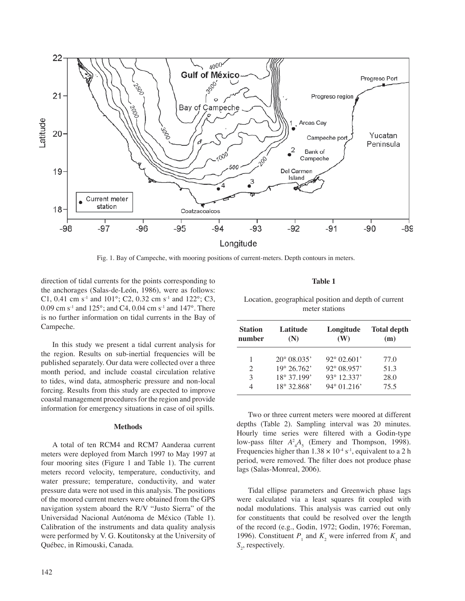

Fig. 1. Bay of Campeche, with mooring positions of current-meters. Depth contours in meters.

direction of tidal currents for the points corresponding to the anchorages (Salas-de-León, 1986), were as follows: C1, 0.41 cm s<sup>-1</sup> and 101°; C2, 0.32 cm s<sup>-1</sup> and 122°; C3, 0.09 cm s<sup>-1</sup> and 125°; and C4, 0.04 cm s<sup>-1</sup> and 147°. There is no further information on tidal currents in the Bay of Campeche.

In this study we present a tidal current analysis for the region. Results on sub-inertial frequencies will be published separately. Our data were collected over a three month period, and include coastal circulation relative to tides, wind data, atmospheric pressure and non-local forcing. Results from this study are expected to improve coastal management procedures for the region and provide information for emergency situations in case of oil spills.

### **Methods**

A total of ten RCM4 and RCM7 Aanderaa current meters were deployed from March 1997 to May 1997 at four mooring sites (Figure 1 and Table 1). The current meters record velocity, temperature, conductivity, and water pressure; temperature, conductivity, and water pressure data were not used in this analysis. The positions of the moored current meters were obtained from the GPS navigation system aboard the R/V "Justo Sierra" of the Universidad Nacional Autónoma de México (Table 1). Calibration of the instruments and data quality analysis were performed by V. G. Koutitonsky at the University of Québec, in Rimouski, Canada.

# **Table 1**

Location, geographical position and depth of current meter stations

| <b>Station</b><br>number | Latitude<br>(N)      | Longitude<br>(W)     | <b>Total depth</b><br>(m) |
|--------------------------|----------------------|----------------------|---------------------------|
|                          | $20^{\circ}$ 08.035' | $92^{\circ}$ 02.601' | 77.0                      |
| 2                        | $19^{\circ}$ 26.762' | $92^{\circ}$ 08.957' | 51.3                      |
| 3                        | 18° 37.199'          | 93° 12.337'          | 28.0                      |
|                          | 18° 32.868'          | $94^{\circ}$ 01.216' | 75.5                      |

Two or three current meters were moored at different depths (Table 2). Sampling interval was 20 minutes. Hourly time series were filtered with a Godin-type low-pass filter  $A^2_A A_5$  (Emery and Thompson, 1998). Frequencies higher than  $1.38 \times 10^{-4}$  s<sup>-1</sup>, equivalent to a 2 h period, were removed. The filter does not produce phase lags (Salas-Monreal, 2006).

Tidal ellipse parameters and Greenwich phase lags were calculated via a least squares fit coupled with nodal modulations. This analysis was carried out only for constituents that could be resolved over the length of the record (e.g., Godin, 1972; Godin, 1976; Foreman, 1996). Constituent  $P_1$  and  $K_2$  were inferred from  $K_1$  and S<sub>2</sub>, respectively.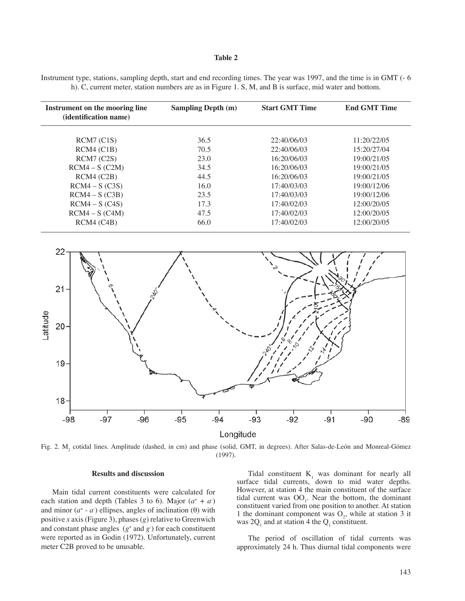## **Table 2**

Instrument type, stations, sampling depth, start and end recording times. The year was 1997, and the time is in GMT (- 6 h). C, current meter, station numbers are as in Figure 1. S, M, and B is surface, mid water and bottom.

| Instrument on the mooring line<br><i>(identification name)</i> | <b>Sampling Depth (m)</b> | <b>Start GMT Time</b> | <b>End GMT Time</b> |
|----------------------------------------------------------------|---------------------------|-----------------------|---------------------|
| RCM7 (C1S)                                                     | 36.5                      | 22:40/06/03           | 11:20/22/05         |
| RCM4 (C1B)                                                     | 70.5                      | 22:40/06/03           | 15:20/27/04         |
| RCM7 (C2S)                                                     | 23.0                      | 16:20/06/03           | 19:00/21/05         |
| $RCM4-S (C2M)$                                                 | 34.5                      | 16:20/06/03           | 19:00/21/05         |
| RCM4 (C2B)                                                     | 44.5                      | 16:20/06/03           | 19:00/21/05         |
| $RCM4-S(C3S)$                                                  | 16.0                      | 17:40/03/03           | 19:00/12/06         |
| $RCM4-S(C3B)$                                                  | 23.5                      | 17:40/03/03           | 19:00/12/06         |
| $RCM4-S(C4S)$                                                  | 17.3                      | 17:40/02/03           | 12:00/20/05         |
| $RCM4-S (C4M)$                                                 | 47.5                      | 17:40/02/03           | 12:00/20/05         |
| RCM4 (C4B)                                                     | 66.0                      | 17:40/02/03           | 12:00/20/05         |



Fig. 2.  $M_2$  cotidal lines. Amplitude (dashed, in cm) and phase (solid, GMT, in degrees). After Salas-de-León and Monreal-Gómez (1997).

### **Results and discussion**

Main tidal current constituents were calculated for each station and depth (Tables 3 to 6). Major  $(a^+ + a)$ and minor  $(a^+ - a)$  ellipses, angles of inclination  $(\theta)$  with positive *x* axis (Figure 3), phases (*g*) relative to Greenwich and constant phase angles  $(g^+$  and  $g^-$ ) for each constituent were reported as in Godin (1972). Unfortunately, current meter C2B proved to be unusable.

Tidal constituent  $K_1$  was dominant for nearly all surface tidal currents, down to mid water depths. However, at station 4 the main constituent of the surface tidal current was  $OO<sub>1</sub>$ . Near the bottom, the dominant constituent varied from one position to another. At station 1 the dominant component was  $O_2$ , while at station 3 it was  $2Q_1$  and at station 4 the  $Q_1$  constituent.

The period of oscillation of tidal currents was approximately 24 h. Thus diurnal tidal components were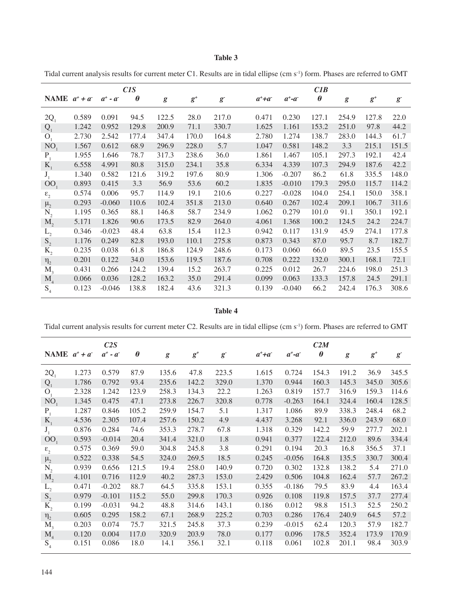# **Table 3**

Tidal current analysis results for current meter C1. Results are in tidal ellipse (cm s<sup>-1</sup>) form. Phases are referred to GMT

|                  |       |               | CIS                   |       |       |             |               |               | CIB                   |           |       |             |
|------------------|-------|---------------|-----------------------|-------|-------|-------------|---------------|---------------|-----------------------|-----------|-------|-------------|
| NAME $a^+ + a^-$ |       | $a^+$ - $a^-$ | $\boldsymbol{\theta}$ | g     | $g^+$ | $g^{\cdot}$ | $a^+$ + $a^-$ | $a^+$ - $a^-$ | $\boldsymbol{\theta}$ | $\pmb{g}$ | $g^+$ | $g^{\cdot}$ |
| $2Q_1$           | 0.589 | 0.091         | 94.5                  | 122.5 | 28.0  | 217.0       | 0.471         | 0.230         | 127.1                 | 254.9     | 127.8 | 22.0        |
| Q <sub>1</sub>   | 1.242 | 0.952         | 129.8                 | 200.9 | 71.1  | 330.7       | 1.625         | 1.161         | 153.2                 | 251.0     | 97.8  | 44.2        |
| O <sub>1</sub>   | 2.730 | 2.542         | 177.4                 | 347.4 | 170.0 | 164.8       | 2.780         | 1.274         | 138.7                 | 283.0     | 144.3 | 61.7        |
| NO <sub>1</sub>  | 1.567 | 0.612         | 68.9                  | 296.9 | 228.0 | 5.7         | 1.047         | 0.581         | 148.2                 | 3.3       | 215.1 | 151.5       |
| $P_1$            | 1.955 | 1.646         | 78.7                  | 317.3 | 238.6 | 36.0        | 1.861         | 1.467         | 105.1                 | 297.3     | 192.1 | 42.4        |
| $K_{1}$          | 6.558 | 4.991         | 80.8                  | 315.0 | 234.1 | 35.8        | 6.334         | 4.339         | 107.3                 | 294.9     | 187.6 | 42.2        |
| $J_1$            | 1.340 | 0.582         | 121.6                 | 319.2 | 197.6 | 80.9        | 1.306         | $-0.207$      | 86.2                  | 61.8      | 335.5 | 148.0       |
| OO               | 0.893 | 0.415         | 3.3                   | 56.9  | 53.6  | 60.2        | 1.835         | $-0.010$      | 179.3                 | 295.0     | 115.7 | 114.2       |
| $\epsilon_{2}$   | 0.574 | 0.006         | 95.7                  | 114.9 | 19.1  | 210.6       | 0.227         | $-0.028$      | 104.0                 | 254.1     | 150.0 | 358.1       |
| $\mu_{2}$        | 0.293 | $-0.060$      | 110.6                 | 102.4 | 351.8 | 213.0       | 0.640         | 0.267         | 102.4                 | 209.1     | 106.7 | 311.6       |
| $N_{2}$          | 1.195 | 0.365         | 88.1                  | 146.8 | 58.7  | 234.9       | 1.062         | 0.279         | 101.0                 | 91.1      | 350.1 | 192.1       |
| $M_{2}$          | 5.171 | 1.826         | 90.6                  | 173.5 | 82.9  | 264.0       | 4.061         | 1.368         | 100.2                 | 124.5     | 24.2  | 224.7       |
| $L_{2}$          | 0.346 | $-0.023$      | 48.4                  | 63.8  | 15.4  | 112.3       | 0.942         | 0.117         | 131.9                 | 45.9      | 274.1 | 177.8       |
| S <sub>2</sub>   | 1.176 | 0.249         | 82.8                  | 193.0 | 110.1 | 275.8       | 0.873         | 0.343         | 87.0                  | 95.7      | 8.7   | 182.7       |
| $K_{2}$          | 0.235 | 0.038         | 61.8                  | 186.8 | 124.9 | 248.6       | 0.173         | 0.060         | 66.0                  | 89.5      | 23.5  | 155.5       |
| $\eta_2$         | 0.201 | 0.122         | 34.0                  | 153.6 | 119.5 | 187.6       | 0.708         | 0.222         | 132.0                 | 300.1     | 168.1 | 72.1        |
| M <sub>3</sub>   | 0.431 | 0.266         | 124.2                 | 139.4 | 15.2  | 263.7       | 0.225         | 0.012         | 26.7                  | 224.6     | 198.0 | 251.3       |
| $M_{\rm A}$      | 0.066 | 0.036         | 128.2                 | 163.2 | 35.0  | 291.4       | 0.099         | 0.063         | 133.3                 | 157.8     | 24.5  | 291.1       |
| S <sub>4</sub>   | 0.123 | $-0.046$      | 138.8                 | 182.4 | 43.6  | 321.3       | 0.139         | $-0.040$      | 66.2                  | 242.4     | 176.3 | 308.6       |

**Table 4**

Tidal current analysis results for current meter C2. Results are in tidal ellipse (cm s<sup>-1</sup>) form. Phases are referred to GMT

|                  |       | C2S           |                       |       |       |             |               |               | C2M                   |       |       |             |
|------------------|-------|---------------|-----------------------|-------|-------|-------------|---------------|---------------|-----------------------|-------|-------|-------------|
| NAME $a^+ + a^-$ |       | $a^+$ - $a^-$ | $\boldsymbol{\theta}$ | g     | $g^*$ | $g^{\cdot}$ | $a^+$ + $a^-$ | $a^+$ - $a^-$ | $\boldsymbol{\theta}$ | g     | $g^+$ | $g^{\cdot}$ |
| $2Q_1$           | 1.273 | 0.579         | 87.9                  | 135.6 | 47.8  | 223.5       | 1.615         | 0.724         | 154.3                 | 191.2 | 36.9  | 345.5       |
| Q <sub>1</sub>   | 1.786 | 0.792         | 93.4                  | 235.6 | 142.2 | 329.0       | 1.370         | 0.944         | 160.3                 | 145.3 | 345.0 | 305.6       |
| O <sub>1</sub>   | 2.328 | 1.242         | 123.9                 | 258.3 | 134.3 | 22.2        | 1.263         | 0.819         | 157.7                 | 316.9 | 159.3 | 114.6       |
| NO <sub>1</sub>  | 1.345 | 0.475         | 47.1                  | 273.8 | 226.7 | 320.8       | 0.778         | $-0.263$      | 164.1                 | 324.4 | 160.4 | 128.5       |
| $\mathbf{P}_{1}$ | 1.287 | 0.846         | 105.2                 | 259.9 | 154.7 | 5.1         | 1.317         | 1.086         | 89.9                  | 338.3 | 248.4 | 68.2        |
| $K_{1}$          | 4.536 | 2.305         | 107.4                 | 257.6 | 150.2 | 4.9         | 4.437         | 3.268         | 92.1                  | 336.0 | 243.9 | 68.0        |
| $J_{1}$          | 0.876 | 0.284         | 74.6                  | 353.3 | 278.7 | 67.8        | 1.318         | 0.329         | 142.2                 | 59.9  | 277.7 | 202.1       |
| OO <sub>1</sub>  | 0.593 | $-0.014$      | 20.4                  | 341.4 | 321.0 | 1.8         | 0.941         | 0.377         | 122.4                 | 212.0 | 89.6  | 334.4       |
| $\epsilon_{2}$   | 0.575 | 0.369         | 59.0                  | 304.8 | 245.8 | 3.8         | 0.291         | 0.194         | 20.3                  | 16.8  | 356.5 | 37.1        |
| $\mu_{2}$        | 0.522 | 0.338         | 54.5                  | 324.0 | 269.5 | 18.5        | 0.245         | $-0.056$      | 164.8                 | 135.5 | 330.7 | 300.4       |
| $N_{2}$          | 0.939 | 0.656         | 121.5                 | 19.4  | 258.0 | 140.9       | 0.720         | 0.302         | 132.8                 | 138.2 | 5.4   | 271.0       |
| $M_{2}$          | 4.101 | 0.716         | 112.9                 | 40.2  | 287.3 | 153.0       | 2.429         | 0.506         | 104.8                 | 162.4 | 57.7  | 267.2       |
| $L_{2}$          | 0.471 | $-0.202$      | 88.7                  | 64.5  | 335.8 | 153.1       | 0.355         | $-0.186$      | 79.5                  | 83.9  | 4.4   | 163.4       |
| S <sub>2</sub>   | 0.979 | $-0.101$      | 115.2                 | 55.0  | 299.8 | 170.3       | 0.926         | 0.108         | 119.8                 | 157.5 | 37.7  | 277.4       |
| $K_{2}$          | 0.199 | $-0.031$      | 94.2                  | 48.8  | 314.6 | 143.1       | 0.186         | 0.012         | 98.8                  | 151.3 | 52.5  | 250.2       |
| $\eta_2$         | 0.605 | 0.295         | 158.2                 | 67.1  | 268.9 | 225.2       | 0.703         | 0.286         | 176.4                 | 240.9 | 64.5  | 57.2        |
| $M_{\rm a}$      | 0.203 | 0.074         | 75.7                  | 321.5 | 245.8 | 37.3        | 0.239         | $-0.015$      | 62.4                  | 120.3 | 57.9  | 182.7       |
| $\mathbf{M}_4$   | 0.120 | 0.004         | 117.0                 | 320.9 | 203.9 | 78.0        | 0.177         | 0.096         | 178.5                 | 352.4 | 173.9 | 170.9       |
| $S_4$            | 0.151 | 0.086         | 18.0                  | 14.1  | 356.1 | 32.1        | 0.118         | 0.061         | 102.8                 | 201.1 | 98.4  | 303.9       |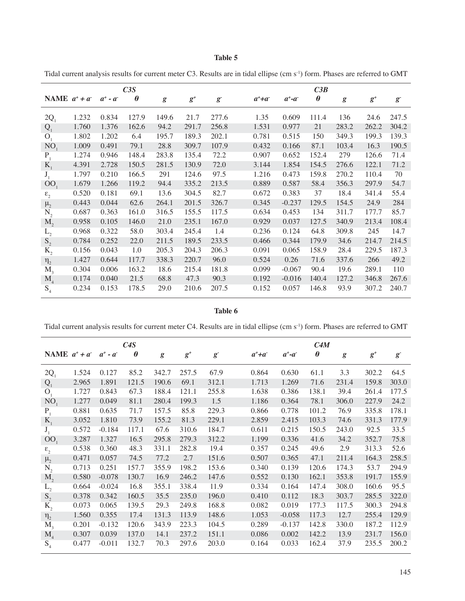# **Table 5**

Tidal current analysis results for current meter C3. Results are in tidal ellipse (cm s<sup>-1</sup>) form. Phases are referred to GMT

|                         |       |               | C3S                   |       |       |             |               |               | C3B                   |                  |       |             |
|-------------------------|-------|---------------|-----------------------|-------|-------|-------------|---------------|---------------|-----------------------|------------------|-------|-------------|
| NAME $a^+ + a^-$        |       | $a^+$ - $a^-$ | $\boldsymbol{\theta}$ | g     | $g^+$ | $g^{\cdot}$ | $a^+$ + $a^-$ | $a^+$ - $a^-$ | $\boldsymbol{\theta}$ | $\boldsymbol{g}$ | $g^+$ | $g^{\cdot}$ |
| $2Q_1$                  | 1.232 | 0.834         | 127.9                 | 149.6 | 21.7  | 277.6       | 1.35          | 0.609         | 111.4                 | 136              | 24.6  | 247.5       |
| Q <sub>1</sub>          | 1.760 | 1.376         | 162.6                 | 94.2  | 291.7 | 256.8       | 1.531         | 0.977         | 21                    | 283.2            | 262.2 | 304.2       |
| O <sub>1</sub>          | 1.802 | 1.202         | 6.4                   | 195.7 | 189.3 | 202.1       | 0.781         | 0.515         | 150                   | 349.3            | 199.3 | 139.3       |
| NO <sub>1</sub>         | 1.009 | 0.491         | 79.1                  | 28.8  | 309.7 | 107.9       | 0.432         | 0.166         | 87.1                  | 103.4            | 16.3  | 190.5       |
| $P_1$                   | 1.274 | 0.946         | 148.4                 | 283.8 | 135.4 | 72.2        | 0.907         | 0.652         | 152.4                 | 279              | 126.6 | 71.4        |
| $K_{1}$                 | 4.391 | 2.728         | 150.5                 | 281.5 | 130.9 | 72.0        | 3.144         | 1.854         | 154.5                 | 276.6            | 122.1 | 71.2        |
| J <sub>1</sub>          | 1.797 | 0.210         | 166.5                 | 291   | 124.6 | 97.5        | 1.216         | 0.473         | 159.8                 | 270.2            | 110.4 | 70          |
| 00                      | 1.679 | 1.266         | 119.2                 | 94.4  | 335.2 | 213.5       | 0.889         | 0.587         | 58.4                  | 356.3            | 297.9 | 54.7        |
| $\epsilon$ <sub>2</sub> | 0.520 | 0.181         | 69.1                  | 13.6  | 304.5 | 82.7        | 0.672         | 0.383         | 37                    | 18.4             | 341.4 | 55.4        |
| $\mu_{2}$               | 0.443 | 0.044         | 62.6                  | 264.1 | 201.5 | 326.7       | 0.345         | $-0.237$      | 129.5                 | 154.5            | 24.9  | 284         |
| $N_{2}$                 | 0.687 | 0.363         | 161.0                 | 316.5 | 155.5 | 117.5       | 0.634         | 0.453         | 134                   | 311.7            | 177.7 | 85.7        |
| $M_{2}$                 | 0.958 | 0.105         | 146.0                 | 21.0  | 235.1 | 167.0       | 0.929         | 0.037         | 127.5                 | 340.9            | 213.4 | 108.4       |
| $L_{2}$                 | 0.968 | 0.322         | 58.0                  | 303.4 | 245.4 | 1.4         | 0.236         | 0.124         | 64.8                  | 309.8            | 245   | 14.7        |
| S <sub>2</sub>          | 0.784 | 0.252         | 22.0                  | 211.5 | 189.5 | 233.5       | 0.466         | 0.344         | 179.9                 | 34.6             | 214.7 | 214.5       |
| $K_{2}$                 | 0.156 | 0.043         | 1.0                   | 205.3 | 204.3 | 206.3       | 0.091         | 0.065         | 158.9                 | 28.4             | 229.5 | 187.3       |
| $\eta_2$                | 1.427 | 0.644         | 117.7                 | 338.3 | 220.7 | 96.0        | 0.524         | 0.26          | 71.6                  | 337.6            | 266   | 49.2        |
| M <sub>3</sub>          | 0.304 | 0.006         | 163.2                 | 18.6  | 215.4 | 181.8       | 0.099         | $-0.067$      | 90.4                  | 19.6             | 289.1 | 110         |
| $\mathbf{M}_{4}$        | 0.174 | 0.040         | 21.5                  | 68.8  | 47.3  | 90.3        | 0.192         | $-0.016$      | 140.4                 | 127.2            | 346.8 | 267.6       |
| $S_4$                   | 0.234 | 0.153         | 178.5                 | 29.0  | 210.6 | 207.5       | 0.152         | 0.057         | 146.8                 | 93.9             | 307.2 | 240.7       |

**Table 6**

Tidal current analysis results for current meter C4. Results are in tidal ellipse (cm s<sup>-1</sup>) form. Phases are referred to GMT

|                           |       |          | C4S                   |           |       |             |               |               | C4M                   |       |       |             |
|---------------------------|-------|----------|-----------------------|-----------|-------|-------------|---------------|---------------|-----------------------|-------|-------|-------------|
| NAME $a^+ + a^ a^+ - a^-$ |       |          | $\boldsymbol{\theta}$ | $\pmb{g}$ | $g^+$ | $g^{\cdot}$ | $a^+$ + $a^-$ | $a^+$ - $a^-$ | $\boldsymbol{\theta}$ | g     | $g^+$ | $g^{\cdot}$ |
| $2Q_{1}$                  | 1.524 | 0.127    | 85.2                  | 342.7     | 257.5 | 67.9        | 0.864         | 0.630         | 61.1                  | 3.3   | 302.2 | 64.5        |
| Q <sub>1</sub>            | 2.965 | 1.891    | 121.5                 | 190.6     | 69.1  | 312.1       | 1.713         | 1.269         | 71.6                  | 231.4 | 159.8 | 303.0       |
| O <sub>1</sub>            | 1.727 | 0.843    | 67.3                  | 188.4     | 121.1 | 255.8       | 1.638         | 0.386         | 138.1                 | 39.4  | 261.4 | 177.5       |
| NO <sub>1</sub>           | 1.277 | 0.049    | 81.1                  | 280.4     | 199.3 | 1.5         | 1.186         | 0.364         | 78.1                  | 306.0 | 227.9 | 24.2        |
| $P_1$                     | 0.881 | 0.635    | 71.7                  | 157.5     | 85.8  | 229.3       | 0.866         | 0.778         | 101.2                 | 76.9  | 335.8 | 178.1       |
| $K_{1}$                   | 3.052 | 1.810    | 73.9                  | 155.2     | 81.3  | 229.1       | 2.859         | 2.415         | 103.3                 | 74.6  | 331.3 | 177.9       |
| $J_1$                     | 0.572 | $-0.184$ | 117.1                 | 67.6      | 310.6 | 184.7       | 0.611         | 0.215         | 150.5                 | 243.0 | 92.5  | 33.5        |
| OO                        | 3.287 | 1.327    | 16.5                  | 295.8     | 279.3 | 312.2       | 1.199         | 0.336         | 41.6                  | 34.2  | 352.7 | 75.8        |
| $\boldsymbol{\epsilon}_2$ | 0.538 | 0.360    | 48.3                  | 331.1     | 282.8 | 19.4        | 0.357         | 0.245         | 49.6                  | 2.9   | 313.3 | 52.6        |
| $\mu_{2}$                 | 0.471 | 0.057    | 74.5                  | 77.2      | 2.7   | 151.6       | 0.507         | 0.365         | 47.1                  | 211.4 | 164.3 | 258.5       |
| $N_{2}$                   | 0.713 | 0.251    | 157.7                 | 355.9     | 198.2 | 153.6       | 0.340         | 0.139         | 120.6                 | 174.3 | 53.7  | 294.9       |
| $M_{\rm{2}}$              | 0.580 | $-0.078$ | 130.7                 | 16.9      | 246.2 | 147.6       | 0.552         | 0.130         | 162.1                 | 353.8 | 191.7 | 155.9       |
| $L_{2}$                   | 0.664 | $-0.024$ | 16.8                  | 355.1     | 338.4 | 11.9        | 0.334         | 0.164         | 147.4                 | 308.0 | 160.6 | 95.5        |
| S <sub>2</sub>            | 0.378 | 0.342    | 160.5                 | 35.5      | 235.0 | 196.0       | 0.410         | 0.112         | 18.3                  | 303.7 | 285.5 | 322.0       |
| $K_{2}$                   | 0.073 | 0.065    | 139.5                 | 29.3      | 249.8 | 168.8       | 0.082         | 0.019         | 177.3                 | 117.5 | 300.3 | 294.8       |
| $\eta_2$                  | 1.560 | 0.355    | 17.4                  | 131.3     | 113.9 | 148.6       | 1.053         | $-0.058$      | 117.3                 | 12.7  | 255.4 | 129.9       |
| $M_{\rm A}$               | 0.201 | $-0.132$ | 120.6                 | 343.9     | 223.3 | 104.5       | 0.289         | $-0.137$      | 142.8                 | 330.0 | 187.2 | 112.9       |
| $\mathbf{M}_4$            | 0.307 | 0.039    | 137.0                 | 14.1      | 237.2 | 151.1       | 0.086         | 0.002         | 142.2                 | 13.9  | 231.7 | 156.0       |
| $S_4$                     | 0.477 | $-0.011$ | 132.7                 | 70.3      | 297.6 | 203.0       | 0.164         | 0.033         | 162.4                 | 37.9  | 235.5 | 200.2       |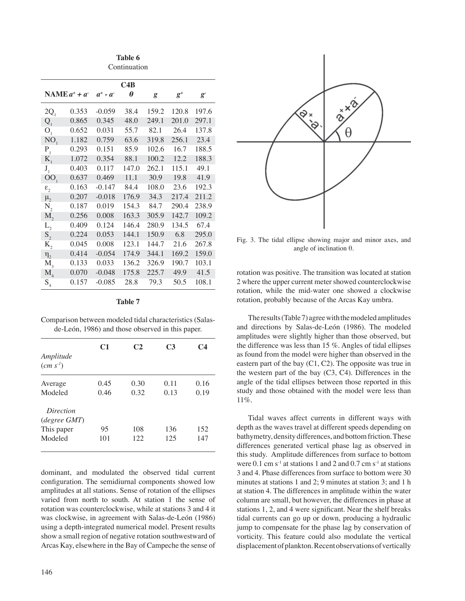**Table 6** Continuation

|                                      |                     |               | C4B                   |       |                            |             |
|--------------------------------------|---------------------|---------------|-----------------------|-------|----------------------------|-------------|
|                                      | $NAMEa^{+} + a^{-}$ | $a^+$ - $a^-$ | $\boldsymbol{\theta}$ | g     | $g^{\scriptscriptstyle +}$ | $g^{\cdot}$ |
| $2Q_{1}$                             | 0.353               | $-0.059$      | 38.4                  | 159.2 | 120.8                      | 197.6       |
| $Q_{1}$                              | 0.865               | 0.345         | 48.0                  | 249.1 | 201.0                      | 297.1       |
| O <sub>1</sub>                       | 0.652               | 0.031         | 55.7                  | 82.1  | 26.4                       | 137.8       |
| NO <sub>1</sub>                      | 1.182               | 0.759         | 63.6                  | 319.8 | 256.1                      | 23.4        |
| $P_{1}$                              | 0.293               | 0.151         | 85.9                  | 102.6 | 16.7                       | 188.5       |
| $K_{1}$                              | 1.072               | 0.354         | 88.1                  | 100.2 | 12.2                       | 188.3       |
| $J_1$                                | 0.403               | 0.117         | 147.0                 | 262.1 | 115.1                      | 49.1        |
| OO <sub>1</sub>                      | 0.637               | 0.469         | 11.1                  | 30.9  | 19.8                       | 41.9        |
| $\epsilon_{2}$                       | 0.163               | $-0.147$      | 84.4                  | 108.0 | 23.6                       | 192.3       |
| $\mu_{2}$                            | 0.207               | $-0.018$      | 176.9                 | 34.3  | 217.4                      | 211.2       |
| $N_{2}$                              | 0.187               | 0.019         | 154.3                 | 84.7  | 290.4                      | 238.9       |
| $M_{2}$                              | 0.256               | 0.008         | 163.3                 | 305.9 | 142.7                      | 109.2       |
| $L_{2}$                              | 0.409               | 0.124         | 146.4                 | 280.9 | 134.5                      | 67.4        |
| $S_{2}$                              | 0.224               | 0.053         | 144.1                 | 150.9 | 6.8                        | 295.0       |
| $K_{2}$                              | 0.045               | 0.008         | 123.1                 | 144.7 | 21.6                       | 267.8       |
| $\eta_2$                             | 0.414               | $-0.054$      | 174.9                 | 344.1 | 169.2                      | 159.0       |
| $M_{\rm A}$                          | 0.133               | 0.033         | 136.2                 | 326.9 | 190.7                      | 103.1       |
| $M_{\rm A}$                          | 0.070               | $-0.048$      | 175.8                 | 225.7 | 49.9                       | 41.5        |
| $\mathrm{S}_{\scriptscriptstyle{4}}$ | 0.157               | $-0.085$      | 28.8                  | 79.3  | 50.5                       | 108.1       |

|--|--|

Comparison between modeled tidal characteristics (Salasde-León, 1986) and those observed in this paper.

| Amplitude<br>(cm s <sup>l</sup> ) | C <sub>1</sub> | C <sub>2</sub> | C <sub>3</sub> | C4   |
|-----------------------------------|----------------|----------------|----------------|------|
| Average                           | 0.45           | 0.30           | 0.11           | 0.16 |
| Modeled                           | 0.46           | 0.32           | 0.13           | 0.19 |
| Direction<br>(degree GMT)         |                |                |                |      |
| This paper                        | 95             | 108            | 136            | 152  |
| Modeled                           | 101            | 122            | 125            | 147  |

dominant, and modulated the observed tidal current configuration. The semidiurnal components showed low amplitudes at all stations. Sense of rotation of the ellipses varied from north to south. At station 1 the sense of rotation was counterclockwise, while at stations 3 and 4 it was clockwise, in agreement with Salas-de-León (1986) using a depth-integrated numerical model. Present results show a small region of negative rotation southwestward of Arcas Kay, elsewhere in the Bay of Campeche the sense of



Fig. 3. The tidal ellipse showing major and minor axes, and angle of inclination θ.

rotation was positive. The transition was located at station 2 where the upper current meter showed counterclockwise rotation, while the mid-water one showed a clockwise rotation, probably because of the Arcas Kay umbra.

The results (Table 7) agree with the modeled amplitudes and directions by Salas-de-León (1986). The modeled amplitudes were slightly higher than those observed, but the difference was less than 15 %. Angles of tidal ellipses as found from the model were higher than observed in the eastern part of the bay (C1, C2). The opposite was true in the western part of the bay  $(C3, C4)$ . Differences in the angle of the tidal ellipses between those reported in this study and those obtained with the model were less than 11%.

Tidal waves affect currents in different ways with depth as the waves travel at different speeds depending on bathymetry, density differences, and bottom friction. These differences generated vertical phase lag as observed in this study. Amplitude differences from surface to bottom were 0.1 cm  $s^{-1}$  at stations 1 and 2 and 0.7 cm  $s^{-1}$  at stations 3 and 4. Phase differences from surface to bottom were 30 minutes at stations 1 and 2; 9 minutes at station 3; and 1 h at station 4. The differences in amplitude within the water column are small, but however, the differences in phase at stations 1, 2, and 4 were significant. Near the shelf breaks tidal currents can go up or down, producing a hydraulic jump to compensate for the phase lag by conservation of vorticity. This feature could also modulate the vertical displacement of plankton. Recent observations of vertically